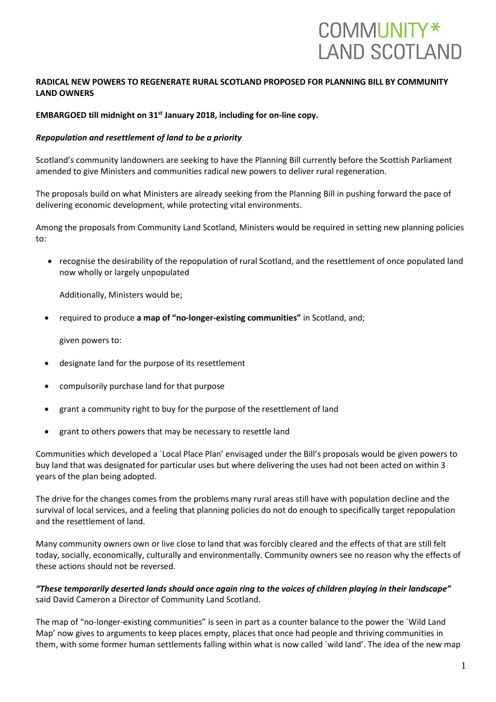# COMMUNITY\* **LAND SCOTLAND**

## **RADICAL NEW POWERS TO REGENERATE RURAL SCOTLAND PROPOSED FOR PLANNING BILL BY COMMUNITY LAND OWNERS**

## **EMBARGOED till midnight on 31st January 2018, including for on-line copy.**

#### *Repopulation and resettlement of land to be a priority*

Scotland's community landowners are seeking to have the Planning Bill currently before the Scottish Parliament amended to give Ministers and communities radical new powers to deliver rural regeneration.

The proposals build on what Ministers are already seeking from the Planning Bill in pushing forward the pace of delivering economic development, while protecting vital environments.

Among the proposals from Community Land Scotland, Ministers would be required in setting new planning policies to:

 recognise the desirability of the repopulation of rural Scotland, and the resettlement of once populated land now wholly or largely unpopulated

Additionally, Ministers would be;

required to produce **a map of "no-longer-existing communities"** in Scotland, and;

given powers to:

- designate land for the purpose of its resettlement
- compulsorily purchase land for that purpose
- grant a community right to buy for the purpose of the resettlement of land
- grant to others powers that may be necessary to resettle land

Communities which developed a `Local Place Plan' envisaged under the Bill's proposals would be given powers to buy land that was designated for particular uses but where delivering the uses had not been acted on within 3 years of the plan being adopted.

The drive for the changes comes from the problems many rural areas still have with population decline and the survival of local services, and a feeling that planning policies do not do enough to specifically target repopulation and the resettlement of land.

Many community owners own or live close to land that was forcibly cleared and the effects of that are still felt today, socially, economically, culturally and environmentally. Community owners see no reason why the effects of these actions should not be reversed.

*"These temporarily deserted lands should once again ring to the voices of children playing in their landscape"* said David Cameron a Director of Community Land Scotland.

The map of "no-longer-existing communities" is seen in part as a counter balance to the power the `Wild Land Map' now gives to arguments to keep places empty, places that once had people and thriving communities in them, with some former human settlements falling within what is now called `wild land'. The idea of the new map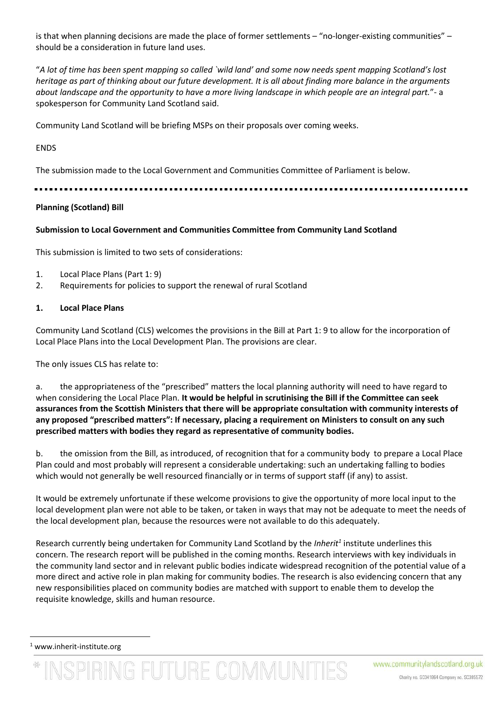is that when planning decisions are made the place of former settlements – "no-longer-existing communities" – should be a consideration in future land uses.

"*A lot of time has been spent mapping so called `wild land' and some now needs spent mapping Scotland's lost heritage as part of thinking about our future development. It is all about finding more balance in the arguments about landscape and the opportunity to have a more living landscape in which people are an integral part.*"- a spokesperson for Community Land Scotland said.

Community Land Scotland will be briefing MSPs on their proposals over coming weeks.

## ENDS

The submission made to the Local Government and Communities Committee of Parliament is below.

#### **Planning (Scotland) Bill**

#### **Submission to Local Government and Communities Committee from Community Land Scotland**

This submission is limited to two sets of considerations:

- 1. Local Place Plans (Part 1: 9)
- 2. Requirements for policies to support the renewal of rural Scotland

#### **1. Local Place Plans**

Community Land Scotland (CLS) welcomes the provisions in the Bill at Part 1: 9 to allow for the incorporation of Local Place Plans into the Local Development Plan. The provisions are clear.

The only issues CLS has relate to:

a. the appropriateness of the "prescribed" matters the local planning authority will need to have regard to when considering the Local Place Plan. **It would be helpful in scrutinising the Bill if the Committee can seek assurances from the Scottish Ministers that there will be appropriate consultation with community interests of any proposed "prescribed matters": If necessary, placing a requirement on Ministers to consult on any such prescribed matters with bodies they regard as representative of community bodies.**

b. the omission from the Bill, as introduced, of recognition that for a community body to prepare a Local Place Plan could and most probably will represent a considerable undertaking: such an undertaking falling to bodies which would not generally be well resourced financially or in terms of support staff (if any) to assist.

It would be extremely unfortunate if these welcome provisions to give the opportunity of more local input to the local development plan were not able to be taken, or taken in ways that may not be adequate to meet the needs of the local development plan, because the resources were not available to do this adequately.

Research currently being undertaken for Community Land Scotland by the *Inherit<sup>1</sup>* institute underlines this concern. The research report will be published in the coming months. Research interviews with key individuals in the community land sector and in relevant public bodies indicate widespread recognition of the potential value of a more direct and active role in plan making for community bodies. The research is also evidencing concern that any new responsibilities placed on community bodies are matched with support to enable them to develop the requisite knowledge, skills and human resource.

 $\overline{a}$ 

<sup>1</sup> www.inherit-institute.org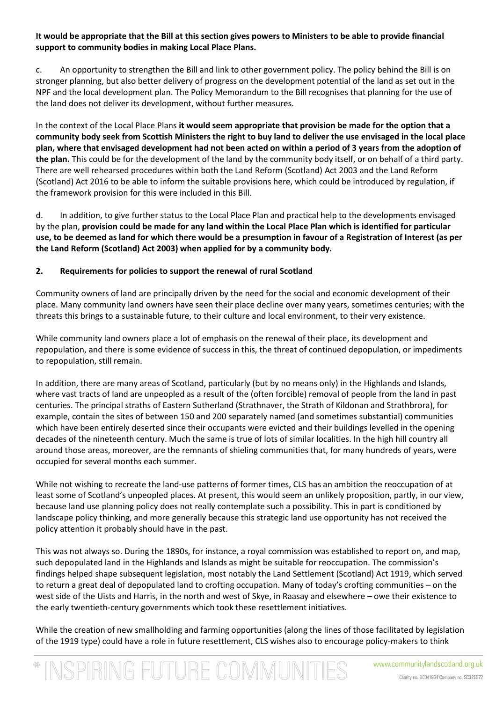# **It would be appropriate that the Bill at this section gives powers to Ministers to be able to provide financial support to community bodies in making Local Place Plans.**

c. An opportunity to strengthen the Bill and link to other government policy. The policy behind the Bill is on stronger planning, but also better delivery of progress on the development potential of the land as set out in the NPF and the local development plan. The Policy Memorandum to the Bill recognises that planning for the use of the land does not deliver its development, without further measures.

In the context of the Local Place Plans **it would seem appropriate that provision be made for the option that a community body seek from Scottish Ministers the right to buy land to deliver the use envisaged in the local place plan, where that envisaged development had not been acted on within a period of 3 years from the adoption of the plan.** This could be for the development of the land by the community body itself, or on behalf of a third party. There are well rehearsed procedures within both the Land Reform (Scotland) Act 2003 and the Land Reform (Scotland) Act 2016 to be able to inform the suitable provisions here, which could be introduced by regulation, if the framework provision for this were included in this Bill.

d. In addition, to give further status to the Local Place Plan and practical help to the developments envisaged by the plan, **provision could be made for any land within the Local Place Plan which is identified for particular use, to be deemed as land for which there would be a presumption in favour of a Registration of Interest (as per the Land Reform (Scotland) Act 2003) when applied for by a community body.**

# **2. Requirements for policies to support the renewal of rural Scotland**

Community owners of land are principally driven by the need for the social and economic development of their place. Many community land owners have seen their place decline over many years, sometimes centuries; with the threats this brings to a sustainable future, to their culture and local environment, to their very existence.

While community land owners place a lot of emphasis on the renewal of their place, its development and repopulation, and there is some evidence of success in this, the threat of continued depopulation, or impediments to repopulation, still remain.

In addition, there are many areas of Scotland, particularly (but by no means only) in the Highlands and Islands, where vast tracts of land are unpeopled as a result of the (often forcible) removal of people from the land in past centuries. The principal straths of Eastern Sutherland (Strathnaver, the Strath of Kildonan and Strathbrora), for example, contain the sites of between 150 and 200 separately named (and sometimes substantial) communities which have been entirely deserted since their occupants were evicted and their buildings levelled in the opening decades of the nineteenth century. Much the same is true of lots of similar localities. In the high hill country all around those areas, moreover, are the remnants of shieling communities that, for many hundreds of years, were occupied for several months each summer.

While not wishing to recreate the land-use patterns of former times, CLS has an ambition the reoccupation of at least some of Scotland's unpeopled places. At present, this would seem an unlikely proposition, partly, in our view, because land use planning policy does not really contemplate such a possibility. This in part is conditioned by landscape policy thinking, and more generally because this strategic land use opportunity has not received the policy attention it probably should have in the past.

This was not always so. During the 1890s, for instance, a royal commission was established to report on, and map, such depopulated land in the Highlands and Islands as might be suitable for reoccupation. The commission's findings helped shape subsequent legislation, most notably the Land Settlement (Scotland) Act 1919, which served to return a great deal of depopulated land to crofting occupation. Many of today's crofting communities – on the west side of the Uists and Harris, in the north and west of Skye, in Raasay and elsewhere – owe their existence to the early twentieth-century governments which took these resettlement initiatives.

While the creation of new smallholding and farming opportunities (along the lines of those facilitated by legislation of the 1919 type) could have a role in future resettlement, CLS wishes also to encourage policy-makers to think

INSPIRING FUTURE COMMUNITIES